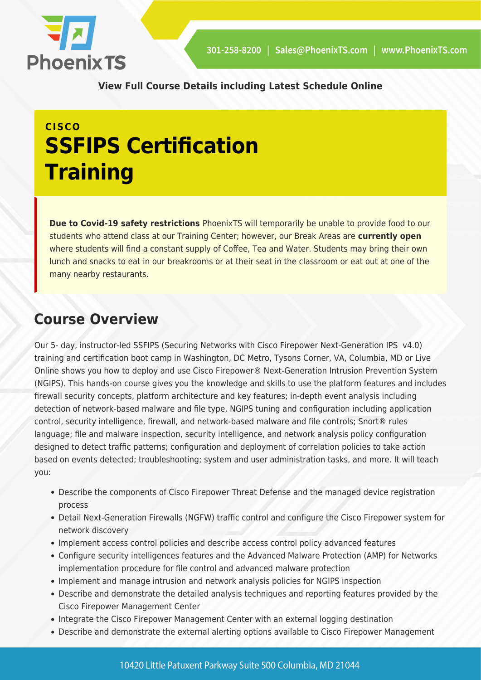

**[View Full Course Details including Latest Schedule Online](https://phoenixts.com/training-courses/securing-networks-with-cisco-firepower-next-generation-ips-ssfips-training/)**

# **CISCO SSFIPS Certification Training**

**Due to Covid-19 safety restrictions** PhoenixTS will temporarily be unable to provide food to our students who attend class at our Training Center; however, our Break Areas are **currently open** where students will find a constant supply of Coffee, Tea and Water. Students may bring their own lunch and snacks to eat in our breakrooms or at their seat in the classroom or eat out at one of the many nearby restaurants.

### **Course Overview**

Our 5- day, instructor-led SSFIPS (Securing Networks with Cisco Firepower Next-Generation IPS v4.0) training and certification boot camp in Washington, DC Metro, Tysons Corner, VA, Columbia, MD or Live Online shows you how to deploy and use Cisco Firepower® Next-Generation Intrusion Prevention System (NGIPS). This hands-on course gives you the knowledge and skills to use the platform features and includes firewall security concepts, platform architecture and key features; in-depth event analysis including detection of network-based malware and file type, NGIPS tuning and configuration including application control, security intelligence, firewall, and network-based malware and file controls; Snort® rules language; file and malware inspection, security intelligence, and network analysis policy configuration designed to detect traffic patterns; configuration and deployment of correlation policies to take action based on events detected; troubleshooting; system and user administration tasks, and more. It will teach you:

- Describe the components of Cisco Firepower Threat Defense and the managed device registration process
- Detail Next-Generation Firewalls (NGFW) traffic control and configure the Cisco Firepower system for network discovery
- Implement access control policies and describe access control policy advanced features
- Configure security intelligences features and the Advanced Malware Protection (AMP) for Networks implementation procedure for file control and advanced malware protection
- Implement and manage intrusion and network analysis policies for NGIPS inspection
- Describe and demonstrate the detailed analysis techniques and reporting features provided by the Cisco Firepower Management Center
- Integrate the Cisco Firepower Management Center with an external logging destination
- Describe and demonstrate the external alerting options available to Cisco Firepower Management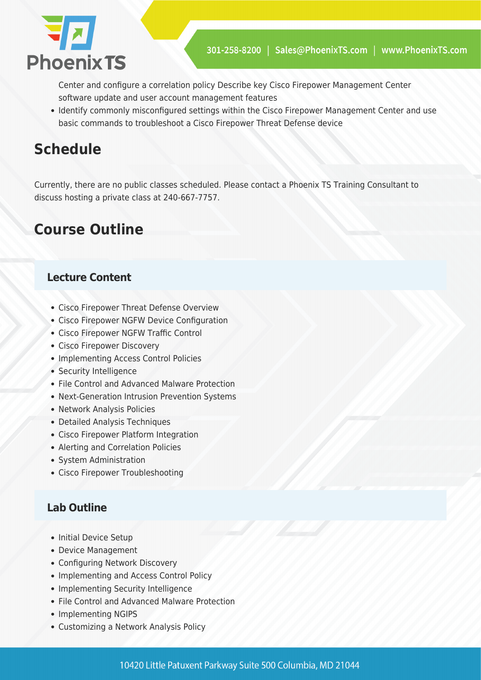

Center and configure a correlation policy Describe key Cisco Firepower Management Center software update and user account management features

• Identify commonly misconfigured settings within the Cisco Firepower Management Center and use basic commands to troubleshoot a Cisco Firepower Threat Defense device

## **Schedule**

Currently, there are no public classes scheduled. Please contact a Phoenix TS Training Consultant to discuss hosting a private class at 240-667-7757.

## **Course Outline**

### **Lecture Content**

- Cisco Firepower Threat Defense Overview
- Cisco Firepower NGFW Device Configuration
- Cisco Firepower NGFW Traffic Control
- Cisco Firepower Discovery
- Implementing Access Control Policies
- Security Intelligence
- File Control and Advanced Malware Protection
- Next-Generation Intrusion Prevention Systems
- Network Analysis Policies
- Detailed Analysis Techniques
- Cisco Firepower Platform Integration
- Alerting and Correlation Policies
- System Administration
- Cisco Firepower Troubleshooting

### **Lab Outline**

- Initial Device Setup
- Device Management
- Configuring Network Discovery
- Implementing and Access Control Policy
- Implementing Security Intelligence
- File Control and Advanced Malware Protection
- Implementing NGIPS
- Customizing a Network Analysis Policy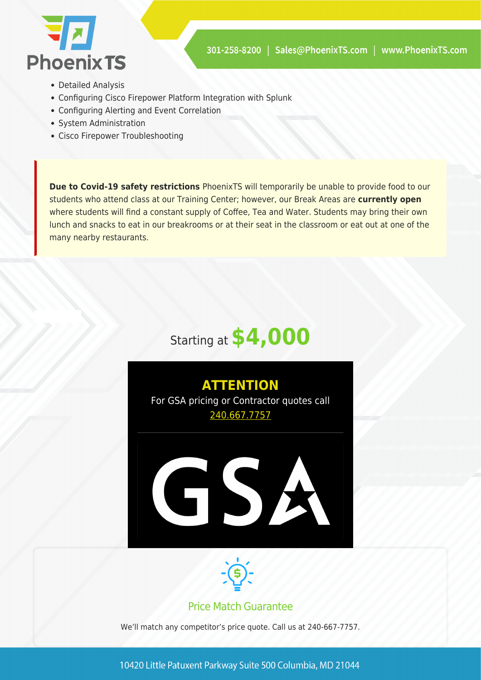

- Detailed Analysis
- Configuring Cisco Firepower Platform Integration with Splunk
- Configuring Alerting and Event Correlation
- System Administration
- Cisco Firepower Troubleshooting

**Due to Covid-19 safety restrictions** PhoenixTS will temporarily be unable to provide food to our students who attend class at our Training Center; however, our Break Areas are **currently open** where students will find a constant supply of Coffee, Tea and Water. Students may bring their own lunch and snacks to eat in our breakrooms or at their seat in the classroom or eat out at one of the many nearby restaurants.







#### Price Match Guarantee

We'll match any competitor's price quote. Call us at 240-667-7757.